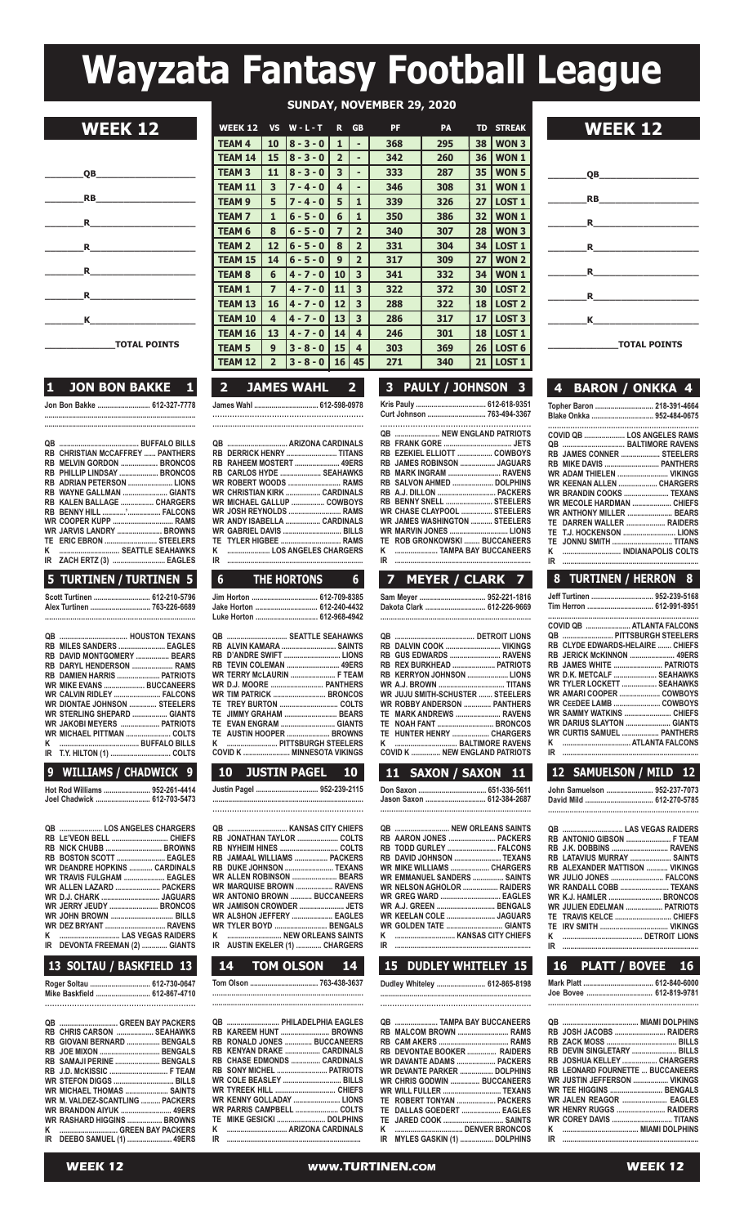# **Wayzata Fantasy Football League**

| SUNDAY, NOVEMBER 29, 2020 |  |
|---------------------------|--|
|---------------------------|--|

**WEEK 12 WEEK 12 WEEK 12 VS W-L-T** R GB **PF PA** TD STREAK<br> **TEAM 4** | 10 | 8-3-0 | 1 | - | 368 | 295 | 38 | WON 3

 $TEAM 4$  | 10 | 8 - 3 - 0 | 1 | -

| QB                                                                                                                                                                                                                                                                                                           |
|--------------------------------------------------------------------------------------------------------------------------------------------------------------------------------------------------------------------------------------------------------------------------------------------------------------|
| <b>RB RB <i>RB</i></b>                                                                                                                                                                                                                                                                                       |
|                                                                                                                                                                                                                                                                                                              |
| $\mathbf R$                                                                                                                                                                                                                                                                                                  |
| $\mathbf R$                                                                                                                                                                                                                                                                                                  |
| $\mathbf R$ and $\mathbf R$ and $\mathbf R$ are set of $\mathbf R$ and $\mathbf R$ are set of $\mathbf R$ and $\mathbf R$ are set of $\mathbf R$ and $\mathbf R$ are set of $\mathbf R$ and $\mathbf R$ are set of $\mathbf R$ and $\mathbf R$ are set of $\mathbf R$ and $\mathbf R$ are set of $\mathbf R$ |
| <b>K</b> and the set of the set of the set of the set of the set of the set of the set of the set of the set of the set of the set of the set of the set of the set of the set of the set of the set of the set of the set of the s                                                                          |
| TOTAL BOTHER                                                                                                                                                                                                                                                                                                 |

**\_\_\_\_\_\_\_\_\_\_\_\_\_TOTAL POINTS**

### **1 JON BON BAKKE 1 Jon Bon Bakke ........................... 612-327-7778**

**.............................................................................**

| IR ZACH ERTZ (3)  EAGLES<br>5 TURTINEN / TURTINEN 5 |  |
|-----------------------------------------------------|--|
| K  SEATTLE SEAHAWKS                                 |  |
| TE ERIC EBRON  STEELERS                             |  |
| WR JARVIS LANDRY  BROWNS                            |  |
| WR COOPER KUPP  RAMS                                |  |
| RB BENNY HILL ' FALCONS                             |  |
| RB KALEN BALLAGE  CHARGERS                          |  |
| RB WAYNE GALLMAN  GIANTS                            |  |
| RB ADRIAN PETERSON  LIONS                           |  |
| RB PHILLIP LINDSAY  BRONCOS                         |  |
| RB MELVIN GORDON  BRONCOS                           |  |
| <b>RB CHRISTIAN MCCAFFREY  PANTHERS</b>             |  |
|                                                     |  |
|                                                     |  |

| Scott Turtinen  612-210-5796 |  |
|------------------------------|--|
| Alex Turtinen  763-226-6689  |  |
|                              |  |

| RB MILES SANDERS  EAGLES         |  |
|----------------------------------|--|
| RB DAVID MONTGOMERY  BEARS       |  |
| RB DARYL HENDERSON  RAMS         |  |
| RB DAMIEN HARRIS  PATRIOTS       |  |
| <b>WR MIKE EVANS  BUCCANEERS</b> |  |
| WR_CALVIN RIDLEY  FALCONS        |  |
| WR DIONTAE JOHNSON  STEELERS     |  |
| WR STERLING SHEPARD  GIANTS      |  |
| WR JAKOBI MEYERS  PATRIOTS       |  |
| WR MICHAEL PITTMAN  COLTS        |  |
|                                  |  |
|                                  |  |
|                                  |  |

### **9 WILLIAMS / CHADWICK 9**

**hot Rod Williams ........................ 952-261-4414 Joel Chadwick ............................ 612-703-5473**

#### **qB ...................... los anGElEs ChaRGERs RB lE'VEon BEll ............................. ChiEFs RB niCK ChUBB ............................. BRoWns RB BosTon sCoTT ......................... EaGlEs WR dEandRE hoPKins ............ CaRdinals WR TRaVis FUlGhaM ..................... EaGlEs WR allEn laZaRd ....................... PaCKERs WR d.J. ChaRK .............................. JaGUaRs WR JERRY JEUdY ......................... BRonCos WR John BRoWn ................................ Bills WR dEZ BRYanT ............................... RaVEns K ............................... las VEGas RaidERs iR dEVonTa FREEMan (2) ............. GianTs**

# **13 SOLTAU / BASKFIELD 13**

| Roger Soltau  612-730-0647   |  |
|------------------------------|--|
| Mike Baskfield  612-867-4710 |  |
|                              |  |

|  | QB  GREEN BAY PACKERS            |  |
|--|----------------------------------|--|
|  | RB CHRIS CARSON  SEAHAWKS        |  |
|  | RB GIOVANI BERNARD  BENGALS      |  |
|  | RB JOE MIXON  BENGALS            |  |
|  | RB SAMAJI PERINE  BENGALS        |  |
|  |                                  |  |
|  | <b>WR STEFON DIGGS  BILLS</b>    |  |
|  | <b>WR MICHAEL THOMAS  SAINTS</b> |  |
|  | WR M. VALDEZ-SCANTLING  PACKERS  |  |
|  | <b>WR BRANDON AIYUK  49ERS</b>   |  |
|  | WR RASHARD HIGGINS  BROWNS       |  |
|  | K  GREEN BAY PACKERS             |  |
|  | IR DEEBO SAMUEL (1)  49ERS       |  |
|  |                                  |  |

| <b>TEAM 14</b>          | 15             | $8 - 3 - 0$       | 2              |                | 342 | 260                      | 36 | WON 1             |                             |
|-------------------------|----------------|-------------------|----------------|----------------|-----|--------------------------|----|-------------------|-----------------------------|
| <b>TEAM 3</b>           | 11             | $8 - 3 - 0$       | 3              | ٠              | 333 | 287                      | 35 | <b>WON 5</b>      | <b>QB</b>                   |
| <b>TEAM 11</b>          | 3              | $7 - 4 - 0$       | 4              | ٠              | 346 | 308                      | 31 | WON 1             |                             |
| <b>TEAM 9</b>           | 5              | $7 - 4 - 0$       | 5              | 1              | 339 | 326                      | 27 | <b>LOST 1</b>     | <b>RB</b>                   |
| <b>TEAM 7</b>           | 1              | $6 - 5 - 0$       | 6              | 1              | 350 | 386                      | 32 | <b>WON1</b>       | R                           |
| <b>TEAM 6</b>           | 8              | $6 - 5 - 0$       | $\overline{ }$ | $\overline{2}$ | 340 | 307                      | 28 | <b>WON3</b>       |                             |
| <b>TEAM 2</b>           | 12             | $6 - 5 - 0$       | 8              | $\overline{2}$ | 331 | 304                      | 34 | <b>LOST 1</b>     | R                           |
| <b>TEAM 15</b>          | 14             | $6 - 5 - 0$       | 9              | $\overline{2}$ | 317 | 309                      | 27 | <b>WON 2</b>      |                             |
| <b>TEAM 8</b>           | 6              | $4 - 7 - 0$       | 10             | 3              | 341 | 332                      | 34 | WON 1             | R                           |
| <b>TEAM 1</b>           | 7              | $4 - 7 - 0$       | 11             | 3              | 322 | 372                      | 30 | <b>LOST 2</b>     |                             |
| <b>TEAM 13</b>          | 16             | $4 - 7 - 0$       | 12             | 3              | 288 | 322                      | 18 | <b>LOST 2</b>     | R                           |
| <b>TEAM 10</b>          | 4              | $4 - 7 - 0$       | 13             | 3              | 286 | 317                      | 17 | LOST <sub>3</sub> | К                           |
| <b>TEAM 16</b>          | 13             | $4 - 7 - 0$       | 14             | 4              | 246 | 301                      | 18 | <b>LOST 1</b>     |                             |
| <b>TEAM 5</b>           | 9              | $3 - 8 - 0$       | 15             | 4              | 303 | 369                      | 26 | LOST <sub>6</sub> | <b>TOTAL POINTS</b>         |
| <b>TEAM 12</b>          | $\overline{2}$ | $3 - 8 - 0$       | 16             | 45             | 271 | 340                      | 21 | LOST <sub>1</sub> |                             |
|                         |                |                   |                |                |     |                          |    |                   |                             |
| $\overline{\mathbf{2}}$ |                | <b>JAMES WAHL</b> |                | $\overline{2}$ | 3   | <b>PAULY / JOHNSON 3</b> |    |                   | <b>BARON / ONKKA 4</b><br>4 |
|                         |                |                   |                |                |     |                          |    |                   |                             |

**James Wahl ................................. 612-598-0978 .............................................................**

|    | RB DERRICK HENRY  TITANS       |  |
|----|--------------------------------|--|
|    | RB RAHEEM MOSTERT  49ERS       |  |
|    | RB CARLOS HYDE  SEAHAWKS       |  |
|    | WR ROBERT WOODS  RAMS          |  |
|    | WR CHRISTIAN KIRK  CARDINALS   |  |
|    | WR MICHAEL GALLUP  COWBOYS     |  |
|    | WR JOSH REYNOLDS  RAMS         |  |
|    | WR ANDY ISABELLA  CARDINALS    |  |
|    | <b>WR GABRIEL DAVIS  BILLS</b> |  |
|    | TE TYLER HIGBEE  RAMS          |  |
|    | K  LOS ANGELES CHARGERS        |  |
| IR |                                |  |
|    |                                |  |

| 6 THE HORTONS 6           |  |
|---------------------------|--|
|                           |  |
| Jake Horton  612-240-4432 |  |
| Luke Horton  612-968-4942 |  |
| QB  SEATTLE SEAHAWKS      |  |

|  | <b>RB TEVIN COLEMAN  49ERS</b> |
|--|--------------------------------|
|  | WR TERRY MCLAURIN  F TEAM      |
|  |                                |
|  |                                |
|  |                                |
|  | TE JIMMY GRAHAM  BEARS         |
|  | TE EVAN ENGRAM  GIANTS         |
|  | TE AUSTIN HOOPER  BROWNS       |
|  |                                |
|  |                                |
|  |                                |

| 10 JUSTIN PAGEL 10          |  |
|-----------------------------|--|
| Justin Pagel  952-239-2115  |  |
|                             |  |
|                             |  |
| RB JONATHAN TAYLOR  COLTS   |  |
|                             |  |
| RB JAMAAL WILLIAMS  PACKERS |  |
| RB DUKE JOHNSON  TEXANS     |  |

| RB DUKE JOHNSON  IEXANS        |  |
|--------------------------------|--|
| WR ALLEN ROBINSON  BEARS       |  |
| WR MARQUISE BROWN  RAVENS      |  |
| WR ANTONIO BROWN  BUCCANEERS   |  |
| WR JAMISON CROWDER  JETS       |  |
| WR ALSHON JEFFERY  EAGLES      |  |
| WR TYLER BOYD  BENGALS         |  |
| K  NEW ORLEANS SAINTS          |  |
| IR AUSTIN EKELER (1)  CHARGERS |  |
|                                |  |

## **Tom olson ................................... 763-438-3637 .......................................................................**

|    | QB  PHILADELPHIA EAGLES     |  |
|----|-----------------------------|--|
|    | RB KAREEM HUNT  BROWNS      |  |
|    | RB RONALD JONES  BUCCANEERS |  |
|    | RB KENYAN DRAKE  CARDINALS  |  |
|    | RB CHASE EDMONDS  CARDINALS |  |
|    | RB SONY MICHEL  PATRIOTS    |  |
|    | WR COLE BEASLEY  BILLS      |  |
|    |                             |  |
|    | WR KENNY GOLLADAY  LIONS    |  |
|    | WR PARRIS CAMPBELL  COLTS   |  |
|    |                             |  |
| ĸ  |                             |  |
| IR |                             |  |

| 3 PAULY / JOHNSON 3                                                                                                                                                                                                                                                                                                                                                                        |
|--------------------------------------------------------------------------------------------------------------------------------------------------------------------------------------------------------------------------------------------------------------------------------------------------------------------------------------------------------------------------------------------|
| Curt Johnson  763-494-3367                                                                                                                                                                                                                                                                                                                                                                 |
| <b>QB  NEW ENGLAND PATRIOTS</b><br>RB EZEKIEL ELLIOTT  COWBOYS<br>RB  JAMES ROBINSON  JAGUARS<br>RB MARK INGRAM  RAVENS<br>RB SALVON AHMED  DOLPHINS<br>RB A.J. DILLON  PACKERS<br>BENNY SNELL  STEELERS<br>RB<br><b>WR CHASE CLAYPOOL  STEELERS</b><br><b>WR JAMES WASHINGTON  STEELERS</b><br>WR MARVIN JONES  LIONS<br>TE ROB GRONKOWSKI  BUCCANEERS<br>ĸ<br>TAMPA BAY BUCCANEERS<br>IR |
| 7 MEYER / CLARK 7                                                                                                                                                                                                                                                                                                                                                                          |
| Sam Meyer  952-221-1816                                                                                                                                                                                                                                                                                                                                                                    |

| Dakota Clark  612-226-9669 |  |
|----------------------------|--|
|                            |  |

| RB DALVIN COOK  VIKINGS                 |  |
|-----------------------------------------|--|
| RB GUS EDWARDS  RAVENS                  |  |
| RB REX BURKHEAD  PATRIOTS               |  |
| RB KERRYON JOHNSON  LIONS               |  |
|                                         |  |
| <b>WR JUJU SMITH-SCHUSTER  STEELERS</b> |  |
| <b>WR ROBBY ANDERSON  PANTHERS</b>      |  |
| TE MARK ANDREWS  RAVENS                 |  |
| TE NOAH FANT  BRONCOS                   |  |
| TE HUNTER HENRY  CHARGERS               |  |
|                                         |  |
| COVID K  NEW ENGLAND PATRIOTS           |  |
|                                         |  |

**10 JUSTIN PAGEL 10 11 SAXON / SAXON 11 12 SAMUELSON / MILD 12 don saxon ................................... 651-336-5611 Jason saxon ............................... 612-384-2687 .................................................................... qB ............................ nEW oRlEans sainTs RB aaRon JonEs ........................ PaCKERs RB Todd GURlEY ......................... FalCons RB daVid Johnson ........................ TEXans WR MiKE WilliaMs .................... ChaRGERs WR EMManUEl sandERs ................ sainTs WR nElson aGholoR .................. RaidERs WR GREG WaRd ............................... EaGlEs WR a.J. GREEn .............................. BEnGals**

# **K ............................... Kansas CiTY ChiEFs iR ......................................................................**

**WR KEElan ColE ......................... JaGUaRs**

**dudley Whiteley ......................... 612-865-8198**

**WR GoldEn TaTE ............................. GianTs**

| QB  TAMPA BAY BUCCANEERS      |  |
|-------------------------------|--|
| RB MALCOM BROWN  RAMS         |  |
|                               |  |
| RB DEVONTAE BOOKER  RAIDERS   |  |
| WR DAVANTE ADAMS  PACKERS     |  |
| WR DEVANTE PARKER  DOLPHINS   |  |
| WR CHRIS GODWIN  BUCCANEERS   |  |
| WR WILL FULLER  TEXANS        |  |
| TE ROBERT TONYAN  PACKERS     |  |
| TE DALLAS GOEDERT  EAGLES     |  |
|                               |  |
|                               |  |
| IR MYLES GASKIN (1)  DOLPHINS |  |



|  |  | 4 BARON / ONKKA 4                                  |  |  |  |
|--|--|----------------------------------------------------|--|--|--|
|  |  | Topher Baron  218-391-4664                         |  |  |  |
|  |  | Blake Onkka  952-484-0675                          |  |  |  |
|  |  |                                                    |  |  |  |
|  |  | COVID QB  LOS ANGELES RAMS<br>QB  BALTIMORE RAVENS |  |  |  |
|  |  | RB JAMES CONNER  STEELERS                          |  |  |  |
|  |  |                                                    |  |  |  |
|  |  | WR ADAM THIELEN  VIKINGS                           |  |  |  |
|  |  | WR KEENAN ALLEN  CHARGERS                          |  |  |  |
|  |  | WR BRANDIN COOKS  TEXANS                           |  |  |  |
|  |  | <b>WR MECOLE HARDMAN  CHIEFS</b>                   |  |  |  |
|  |  | WR ANTHONY MILLER  BEARS                           |  |  |  |
|  |  | TE DARREN WALLER  RAIDERS                          |  |  |  |
|  |  | TE T.J. HOCKENSON  LIONS                           |  |  |  |
|  |  | TE JONNU SMITH  TITANS                             |  |  |  |
|  |  | K  INDIANAPOLIS COLTS                              |  |  |  |

#### **6 THE HORTONS 6 7 MEYER / CLARK 7 8 TURTINEN / HERRON 8 iR ......................................................................**

|    | Jeff Turtinen  952-239-5168      |
|----|----------------------------------|
|    |                                  |
|    |                                  |
|    | COVID QB  ATLANTA FALCONS        |
|    | <b>QB  PITTSBURGH STEELERS</b>   |
|    | RB CLYDE EDWARDS-HELAIRE  CHIEFS |
|    | RB JERICK MCKINNON  49ERS        |
|    | RB JAMES WHITE  PATRIOTS         |
|    | WR D.K. METCALF  SEAHAWKS        |
|    | WR TYLER LOCKETT  SEAHAWKS       |
|    | WR AMARI COOPER  COWBOYS         |
|    | WR CEEDEE LAMB  COWBOYS          |
|    |                                  |
|    | WR DARIUS SLAYTON  GIANTS        |
|    | WR CURTIS SAMUEL  PANTHERS       |
| Κ  | <b>ATLANTA FALCONS</b>           |
| ΙR |                                  |
|    |                                  |

| John Samuelson  952-237-7073 |  |
|------------------------------|--|
| David Mild  612-270-5785     |  |
|                              |  |

|    | RB ANTONIO GIBSON  F TEAM             |  |
|----|---------------------------------------|--|
|    | RB J.K. DOBBINS  RAVENS               |  |
|    | RB LATAVIUS MURRAY  SAINTS            |  |
|    | <b>RB ALEXANDER MATTISON  VIKINGS</b> |  |
|    | WR JULIO JONES  FALCONS               |  |
|    | WR RANDALL COBB  TEXANS               |  |
|    |                                       |  |
|    | WR JULIEN EDELMAN  PATRIOTS           |  |
|    |                                       |  |
|    |                                       |  |
| ĸ  | <b>DETROIT LIONS</b>                  |  |
| IR |                                       |  |

# **14 TOM OLSON 14 15 DUDLEY WHITELEY 15 16 PLATT / BOVEE 16**

**Mark Platt .................................... 612-840-6000 Joe Bovee .................................. 612-819-9781 .....................................................................**

| RB JOSH JACOBS  RAIDERS                 |  |
|-----------------------------------------|--|
|                                         |  |
| RB DEVIN SINGLETARY  BILLS              |  |
| RB JOSHUA KELLEY  CHARGERS              |  |
| <b>RB LEONARD FOURNETTE  BUCCANEERS</b> |  |
| WR JUSTIN JEFFERSON  VIKINGS            |  |
| <b>WR TEE HIGGINS  BENGALS</b>          |  |
| WR JALEN REAGOR  EAGLES                 |  |
| WR HENRY RUGGS  RAIDERS                 |  |
| <b>WR COREY DAVIS  TITANS</b>           |  |
|                                         |  |
|                                         |  |
|                                         |  |